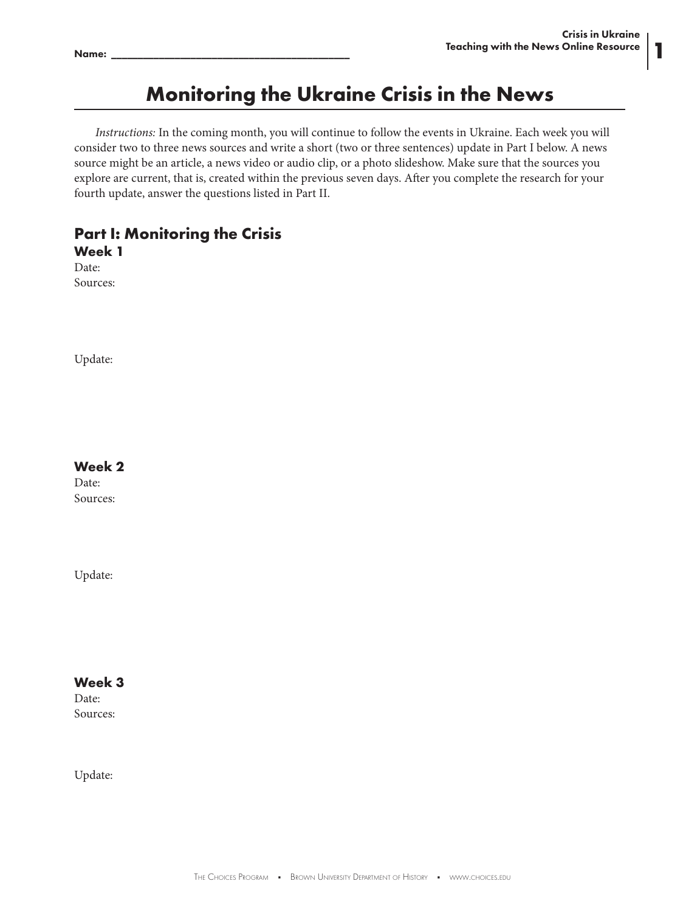**1**

# **Monitoring the Ukraine Crisis in the News**

*Instructions:* In the coming month, you will continue to follow the events in Ukraine. Each week you will consider two to three news sources and write a short (two or three sentences) update in Part I below. A news source might be an article, a news video or audio clip, or a photo slideshow. Make sure that the sources you explore are current, that is, created within the previous seven days. After you complete the research for your fourth update, answer the questions listed in Part II.

## **Part I: Monitoring the Crisis Week 1**

Date: Sources:

Update:

#### **Week 2**

Date: Sources:

Update:

#### **Week 3**

Date: Sources:

Update: